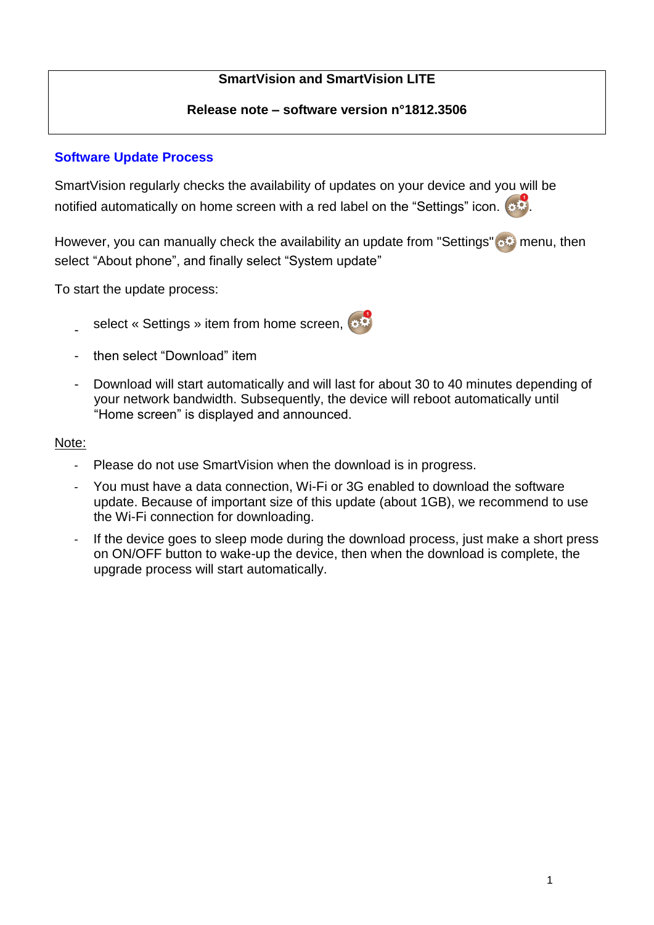# **SmartVision and SmartVision LITE**

## **Release note – software version n°1812.3506**

# **Software Update Process**

SmartVision regularly checks the availability of updates on your device and you will be notified automatically on home screen with a red label on the "Settings" icon.  $\bullet$ 

However, you can manually check the availability an update from "Settings" set menu, then select "About phone", and finally select "System update"

To start the update process:

- select « Settings » item from home screen,
- then select "Download" item
- Download will start automatically and will last for about 30 to 40 minutes depending of your network bandwidth. Subsequently, the device will reboot automatically until "Home screen" is displayed and announced.

### Note:

- Please do not use SmartVision when the download is in progress.
- You must have a data connection, Wi-Fi or 3G enabled to download the software update. Because of important size of this update (about 1GB), we recommend to use the Wi-Fi connection for downloading.
- If the device goes to sleep mode during the download process, just make a short press on ON/OFF button to wake-up the device, then when the download is complete, the upgrade process will start automatically.